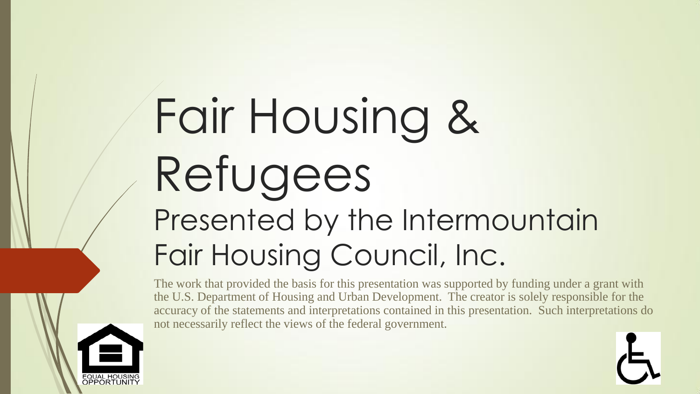# Fair Housing & Refugees Presented by the Intermountain Fair Housing Council, Inc.

The work that provided the basis for this presentation was supported by funding under a grant with the U.S. Department of Housing and Urban Development. The creator is solely responsible for the accuracy of the statements and interpretations contained in this presentation. Such interpretations do not necessarily reflect the views of the federal government.

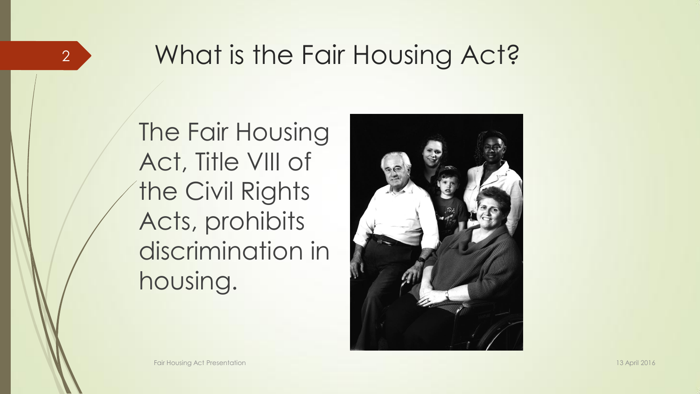### 2 > What is the Fair Housing Act?

The Fair Housing Act, Title VIII of **the Civil Rights** Acts, prohibits discrimination in housing.

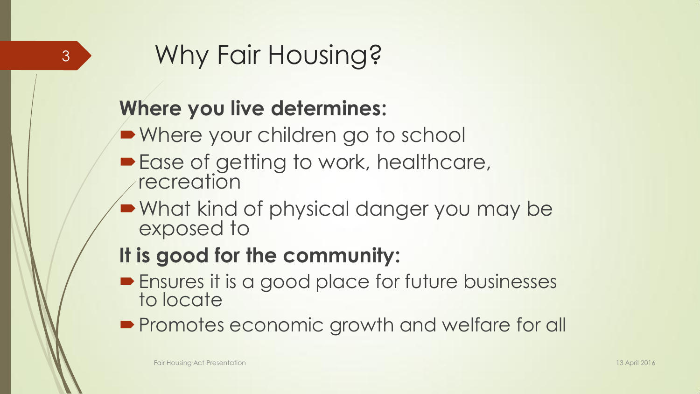## <sup>3</sup> Why Fair Housing?

#### **Where you live determines:**

- Where your children go to school
- **Ease of getting to work, healthcare,** recreation
- What kind of physical danger you may be exposed to

#### **It is good for the community:**

- **Ensures it is a good place for future businesses** to locate
- **Promotes economic growth and welfare for all**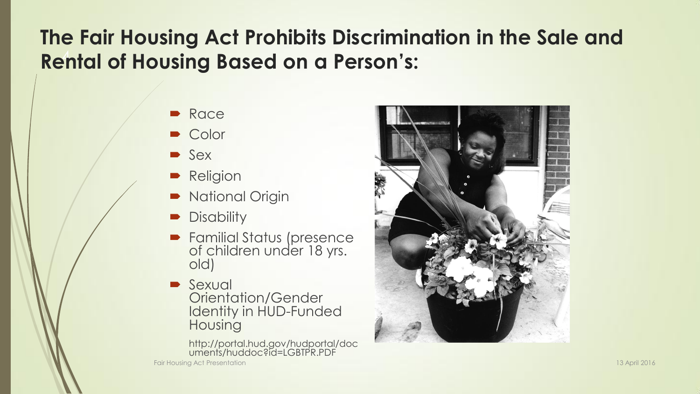#### **Rental of Housing Based on a Person's: The Fair Housing Act Prohibits Discrimination in the Sale and**

- Race
- Color
- **Sex**
- **Religion**
- National Origin
- **Disability**
- **Familial Status (presence** of children under 18 yrs. old)
- **Sexual** Orientation/Gender Identity in HUD-Funded Housing

http://portal.hud.gov/hudportal/doc uments/huddoc?id=LGBTPR.PDF



Fair Housing Act Presentation 13 April 2016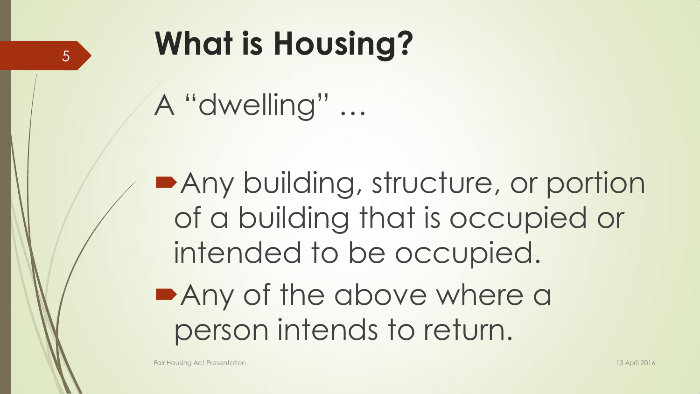## <sup>5</sup> **What is Housing?**

A "dwelling" …

**Any building, structure, or portion** of a building that is occupied or intended to be occupied. **Any of the above where a** person intends to return.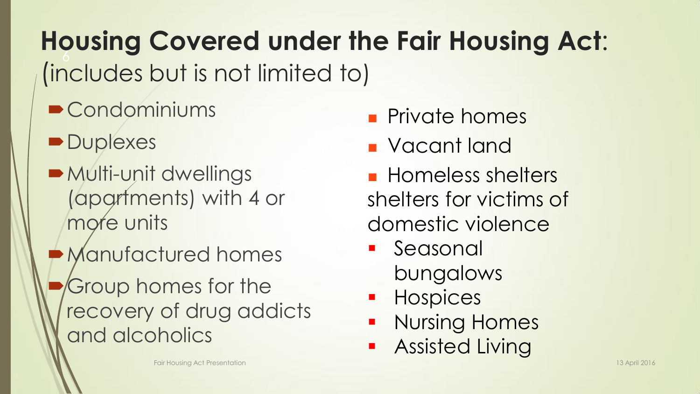6 **Housing Covered under the Fair Housing Act**: (includes but is not limited to)

- **Condominiums**
- **Duplexes**
- Multi-unit dwellings (apartments) with 4 or more units
- Manufactured homes
- Group homes for the recovery of drug addicts and alcoholics
- **Private homes**
- Vacant land
- **Homeless shelters** shelters for victims of domestic violence
- **Seasonal** bungalows
- **Hospices**
- **Nursing Homes**
- **Assisted Living**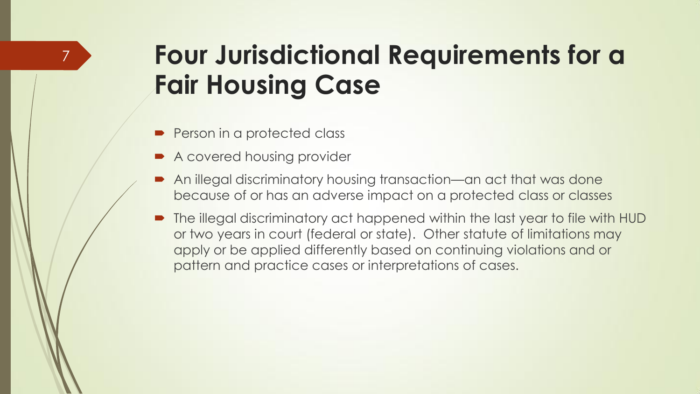### **Four Jurisdictional Requirements for a Fair Housing Case**

Person in a protected class

7

- A covered housing provider
- An illegal discriminatory housing transaction—an act that was done because of or has an adverse impact on a protected class or classes
- The illegal discriminatory act happened within the last year to file with HUD or two years in court (federal or state). Other statute of limitations may apply or be applied differently based on continuing violations and or pattern and practice cases or interpretations of cases.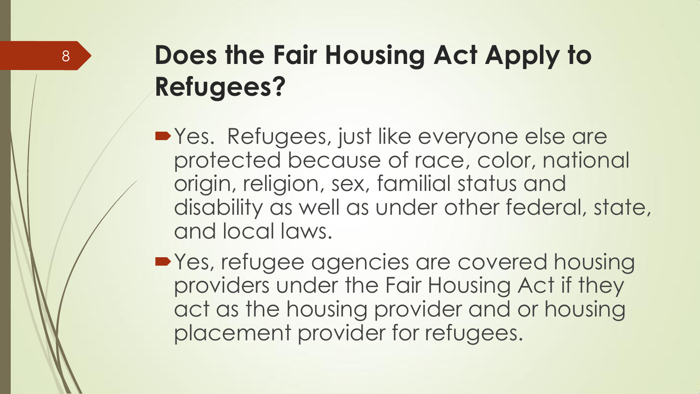## **Does the Fair Housing Act Apply to Refugees?**

- **•Yes.** Refugees, just like everyone else are protected because of race, color, national origin, religion, sex, familial status and disability as well as under other federal, state, and local laws.
- **Yes, refugee agencies are covered housing** providers under the Fair Housing Act if they act as the housing provider and or housing placement provider for refugees.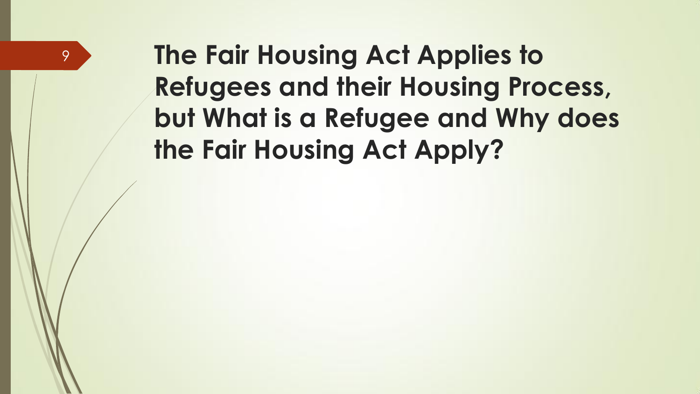## **The Fair Housing Act Applies to Refugees and their Housing Process, but What is a Refugee and Why does the Fair Housing Act Apply?**

9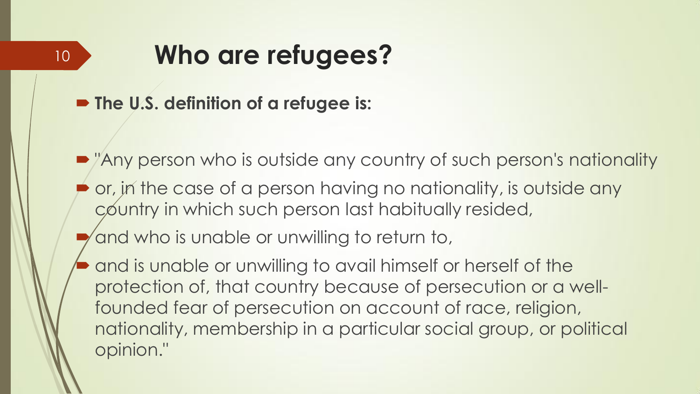#### **Who are refugees?** 10

■ The U.S. definition of a refugee is:

- Any person who is outside any country of such person's nationality
- or, in the case of a person having no nationality, is outside any country in which such person last habitually resided,

and who is unable or unwilling to return to,

 and is unable or unwilling to avail himself or herself of the protection of, that country because of persecution or a wellfounded fear of persecution on account of race, religion, nationality, membership in a particular social group, or political opinion."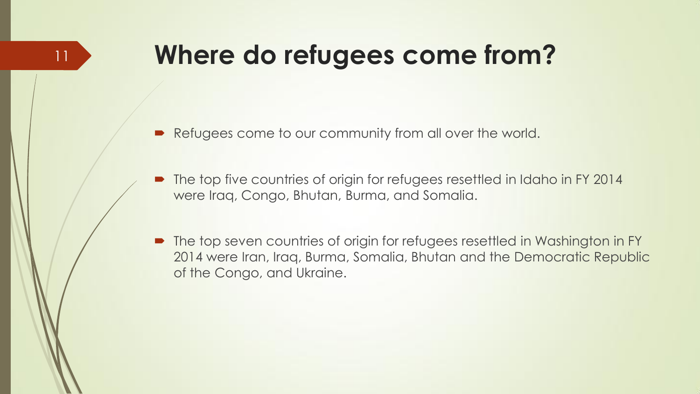### **Where do refugees come from?**

11

- Refugees come to our community from all over the world.
- The top five countries of origin for refugees resettled in Idaho in FY 2014 were Iraq, Congo, Bhutan, Burma, and Somalia.
- The top seven countries of origin for refugees resettled in Washington in FY 2014 were Iran, Iraq, Burma, Somalia, Bhutan and the Democratic Republic of the Congo, and Ukraine.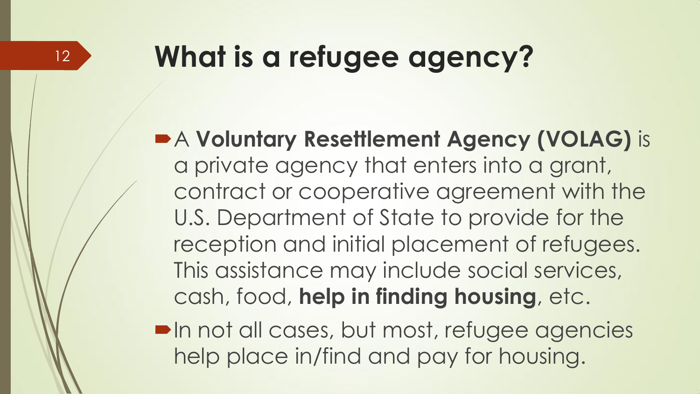## **What is a refugee agency?**

A **Voluntary Resettlement Agency (VOLAG)** is a private agency that enters into a grant, contract or cooperative agreement with the U.S. Department of State to provide for the reception and initial placement of refugees. This assistance may include social services, cash, food, **help in finding housing**, etc.

**In not all cases, but most, refugee agencies** help place in/find and pay for housing.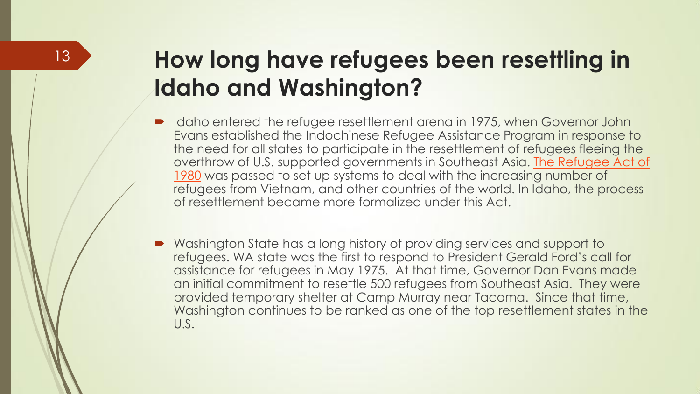#### **How long have refugees been resettling in Idaho and Washington?**

- Idaho entered the refugee resettlement arena in 1975, when Governor John Evans established the Indochinese Refugee Assistance Program in response to the need for all states to participate in the resettlement of refugees fleeing the overthrow of U.S. supported governments in Southeast Asia. [The Refugee Act of](http://www.acf.hhs.gov/programs/orr/resource/the-refugee-act)  [1980](http://www.acf.hhs.gov/programs/orr/resource/the-refugee-act) was passed to set up systems to deal with the increasing number of refugees from Vietnam, and other countries of the world. In Idaho, the process of resettlement became more formalized under this Act.
- Washington State has a long history of providing services and support to refugees. WA state was the first to respond to President Gerald Ford's call for assistance for refugees in May 1975. At that time, Governor Dan Evans made an initial commitment to resettle 500 refugees from Southeast Asia. They were provided temporary shelter at Camp Murray near Tacoma. Since that time, Washington continues to be ranked as one of the top resettlement states in the U.S.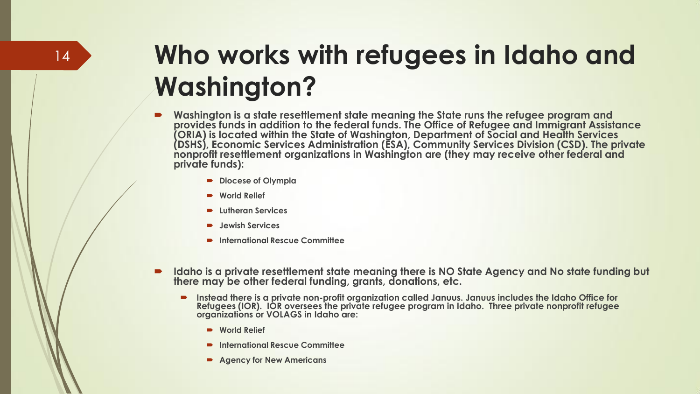## **Who works with refugees in Idaho and Washington?**

- **Washington is a state resettlement state meaning the State runs the refugee program and provides funds in addition to the federal funds. The Office of Refugee and Immigrant Assistance (ORIA) is located within the State of Washington, Department of Social and Health Services (DSHS), Economic Services Administration (ESA), Community Services Division (CSD). The private nonprofit resettlement organizations in Washington are (they may receive other federal and private funds):**
	- **Diocese of Olympia**
	- **World Relief**
	- **Lutheran Services**
	- **Jewish Services**
	- **International Rescue Committee**
- **Idaho is a private resettlement state meaning there is NO State Agency and No state funding but there may be other federal funding, grants, donations, etc.**
	- **Instead there is a private non-profit organization called Januus. Januus includes the Idaho Office for Refugees (IOR). IOR oversees the private refugee program in Idaho. Three private nonprofit refugee organizations or VOLAGS in Idaho are:**
		- **World Relief**
		- **International Rescue Committee**
		- **Agency for New Americans**

14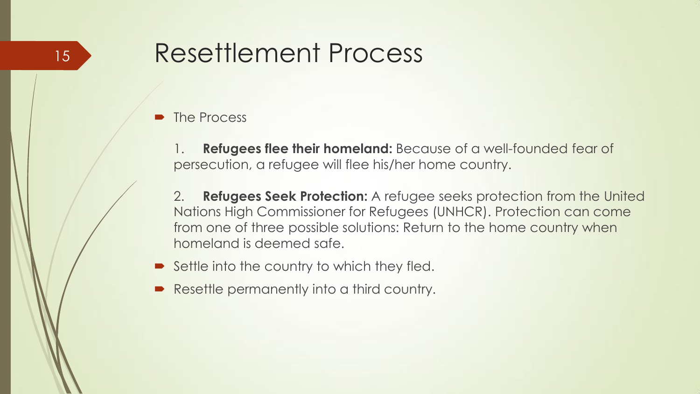#### The Process

1. **Refugees flee their homeland:** Because of a well-founded fear of persecution, a refugee will flee his/her home country.

2. **Refugees Seek Protection:** A refugee seeks protection from the United Nations High Commissioner for Refugees (UNHCR). Protection can come from one of three possible solutions: Return to the home country when homeland is deemed safe.

- $\blacktriangleright$  Settle into the country to which they fled.
- Resettle permanently into a third country.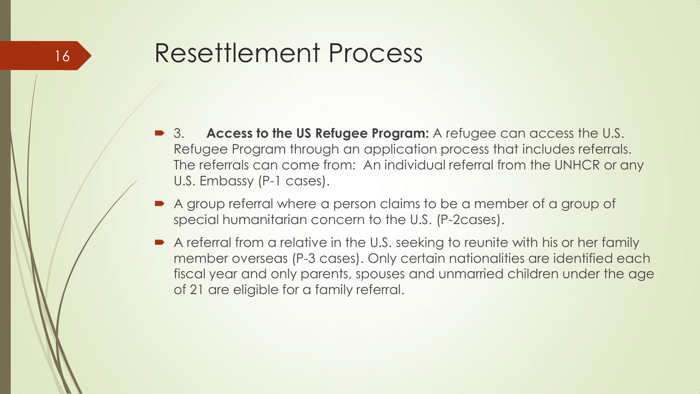- 3. **Access to the US Refugee Program:** A refugee can access the U.S. Refugee Program through an application process that includes referrals. The referrals can come from: An individual referral from the UNHCR or any U.S. Embassy (P-1 cases).
- A group referral where a person claims to be a member of a group of special humanitarian concern to the U.S. (P-2cases).
- A referral from a relative in the U.S. seeking to reunite with his or her family member overseas (P-3 cases). Only certain nationalities are identified each fiscal year and only parents, spouses and unmarried children under the age of 21 are eligible for a family referral.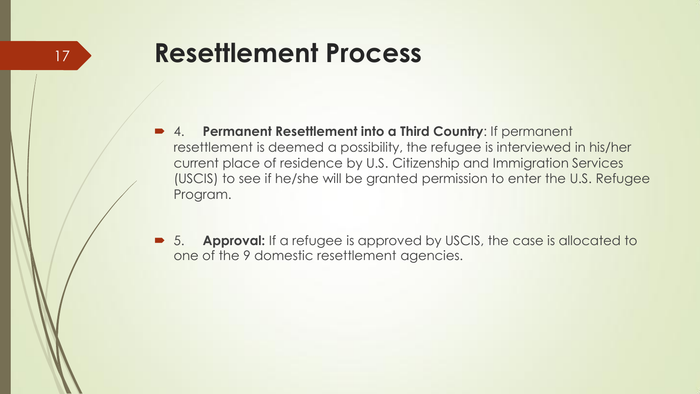- 4. **Permanent Resettlement into a Third Country**: If permanent resettlement is deemed a possibility, the refugee is interviewed in his/her current place of residence by U.S. Citizenship and Immigration Services (USCIS) to see if he/she will be granted permission to enter the U.S. Refugee Program.
- 5. **Approval:** If a refugee is approved by USCIS, the case is allocated to one of the 9 domestic resettlement agencies.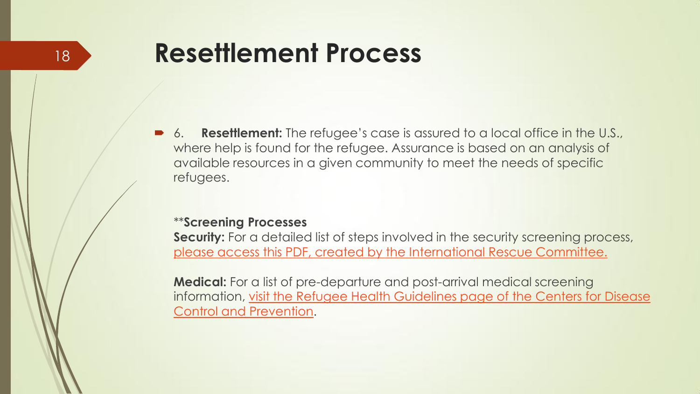6. **Resettlement:** The refugee's case is assured to a local office in the U.S., where help is found for the refugee. Assurance is based on an analysis of available resources in a given community to meet the needs of specific refugees.

#### \*\***Screening Processes**

**Security:** For a detailed list of steps involved in the security screening process, [please access this PDF, created by the International Rescue Committee.](http://www.idahorefugees.org/uploads/3/8/8/9/38892103/security_in_resettlement_factsheet.pdf)

**Medical:** For a list of pre-departure and post-arrival medical screening information, visit the Refugee Health Guidelines page of the Centers for Disease [Control and Prevention.](http://www.cdc.gov/immigrantrefugeehealth/guidelines/refugee-guidelines.html)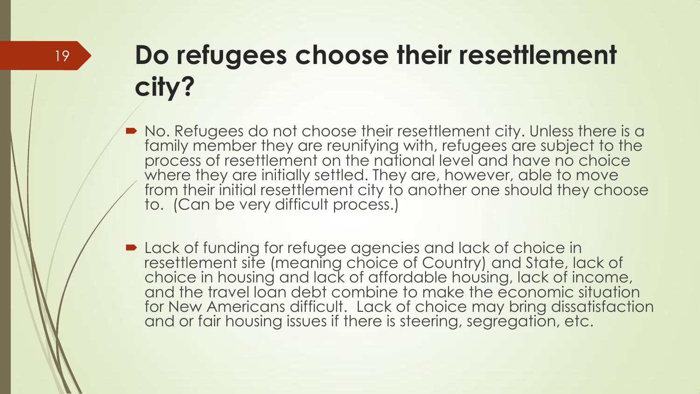## **Do refugees choose their resettlement city?**

- $\blacksquare$  No. Refugees do not choose their resettlement city. Unless there is a family member they are reunifying with, refugees are subject to the process of resettlement on the national level and have no choice where they are initially settled. They are, however, able to move from their initial resettlement city to another one should they choose to. (Can be very difficult process.)
- **Detack of funding for refugee agencies and lack of choice in** resettlement site (meaning choice of Country) and State, lack of choice in housing and lack of affordable housing, lack of income, and the travel loan debt combine to make the economic situation for New Americans difficult. Lack of choice may bring dissatisfaction and or fair housing issues if there is steering, segregation, etc.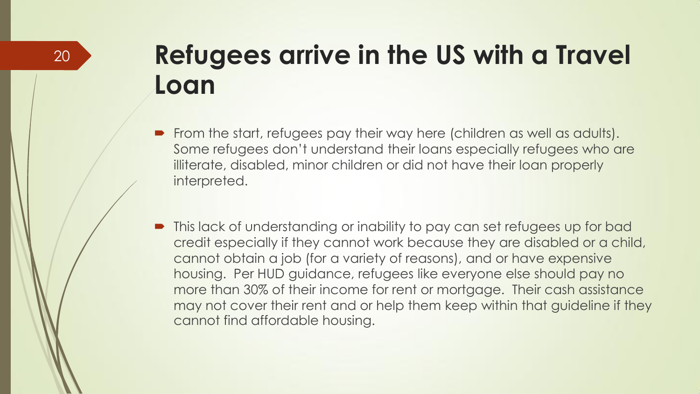### **Refugees arrive in the US with a Travel Loan**

- From the start, refugees pay their way here (children as well as adults). Some refugees don't understand their loans especially refugees who are illiterate, disabled, minor children or did not have their loan properly interpreted.
- This lack of understanding or inability to pay can set refugees up for bad credit especially if they cannot work because they are disabled or a child, cannot obtain a job (for a variety of reasons), and or have expensive housing. Per HUD guidance, refugees like everyone else should pay no more than 30% of their income for rent or mortgage. Their cash assistance may not cover their rent and or help them keep within that guideline if they cannot find affordable housing.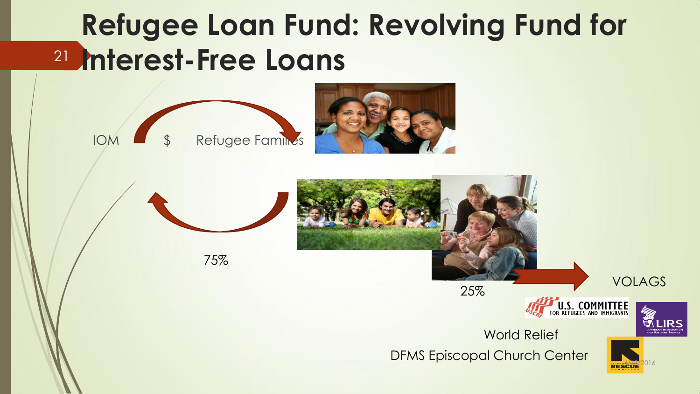## **Refugee Loan Fund: Revolving Fund for Interest-Free Loans** 21







75%











DFMS Episcopal Church Center

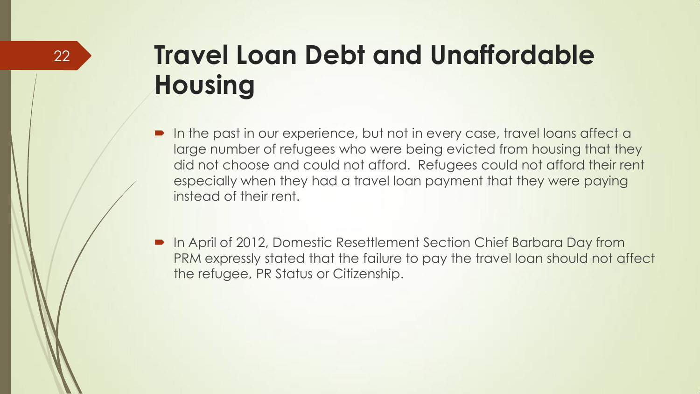## **Travel Loan Debt and Unaffordable Housing**

- In the past in our experience, but not in every case, travel loans affect a large number of refugees who were being evicted from housing that they did not choose and could not afford. Refugees could not afford their rent especially when they had a travel loan payment that they were paying instead of their rent.
- In April of 2012, Domestic Resettlement Section Chief Barbara Day from PRM expressly stated that the failure to pay the travel loan should not affect the refugee, PR Status or Citizenship.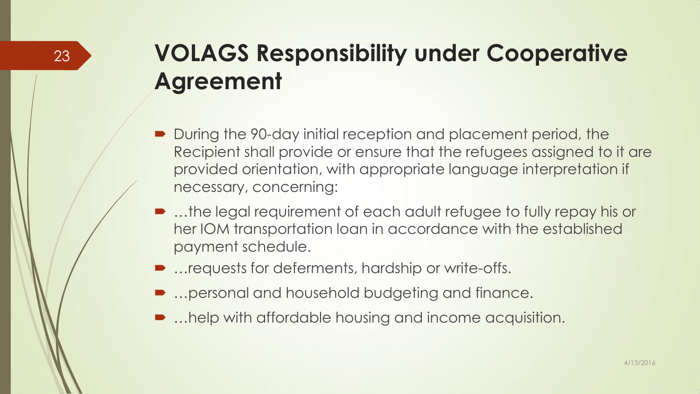#### **VOLAGS Responsibility under Cooperative Agreement**

- During the 90-day initial reception and placement period, the Recipient shall provide or ensure that the refugees assigned to it are provided orientation, with appropriate language interpretation if necessary, concerning:
- ...the legal requirement of each adult refugee to fully repay his or her IOM transportation loan in accordance with the established payment schedule.
- …requests for deferments, hardship or write-offs.

23

- …personal and household budgeting and finance.
- …help with affordable housing and income acquisition.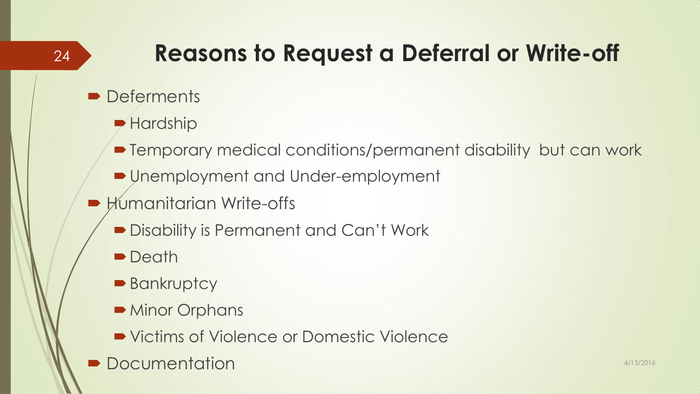### **Reasons to Request a Deferral or Write-off**

**Deferments** 

24

- **Hardship**
- Temporary medical conditions/permanent disability but can work
- Unemployment and Under-employment
- **Humanitarian Write-offs** 
	- **Disability is Permanent and Can't Work**
	- **Death**
	- **Bankruptcy**
	- $\blacksquare$  Minor Orphans
	- Victims of Violence or Domestic Violence
- **Documentation** 4/13/2016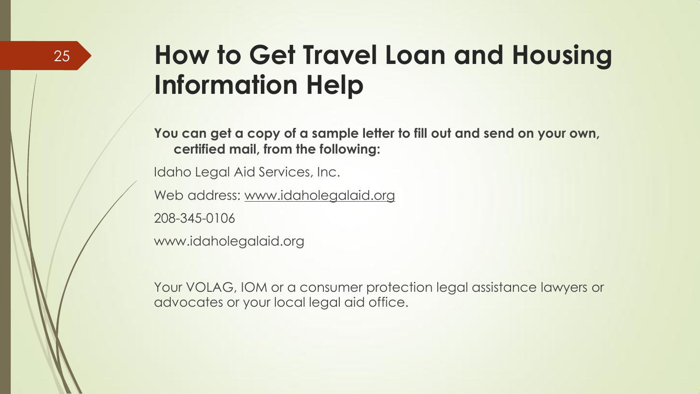### **How to Get Travel Loan and Housing Information Help**

**You can get a copy of a sample letter to fill out and send on your own, certified mail, from the following:**

Idaho Legal Aid Services, Inc.

Web address: www.idaholegalaid.org

208-345-0106

www.idaholegalaid.org

Your VOLAG, IOM or a consumer protection legal assistance lawyers or advocates or your local legal aid office.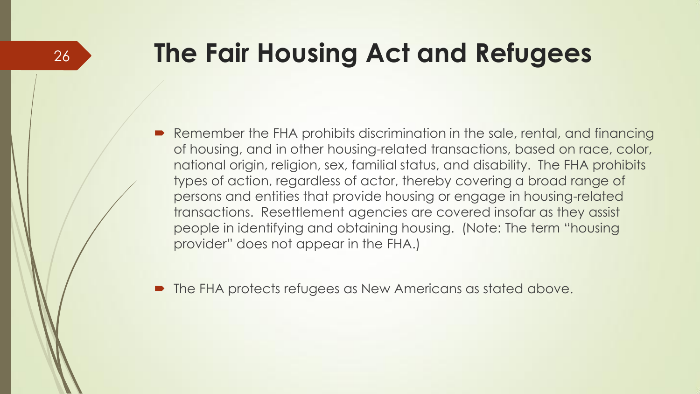### **The Fair Housing Act and Refugees**

 Remember the FHA prohibits discrimination in the sale, rental, and financing of housing, and in other housing-related transactions, based on race, color, national origin, religion, sex, familial status, and disability. The FHA prohibits types of action, regardless of actor, thereby covering a broad range of persons and entities that provide housing or engage in housing-related transactions. Resettlement agencies are covered insofar as they assist people in identifying and obtaining housing. (Note: The term "housing provider" does not appear in the FHA.)

The FHA protects refugees as New Americans as stated above.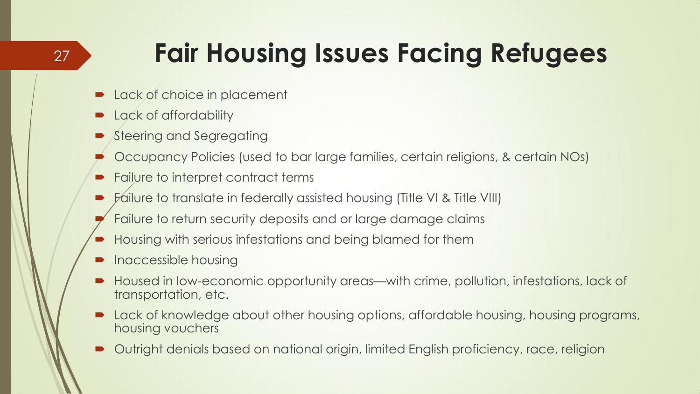## **Fair Housing Issues Facing Refugees**

- Lack of choice in placement
- Lack of affordability

27

- Steering and Segregating
- Occupancy Policies (used to bar large families, certain religions, & certain NOs)
- Failure to interpret contract terms
- **Failure to translate in federally assisted housing (Title VI & Title VIII)**
- Failure to return security deposits and or large damage claims
- Housing with serious infestations and being blamed for them
- Inaccessible housing
- Housed in low-economic opportunity areas—with crime, pollution, infestations, lack of transportation, etc.
- Lack of knowledge about other housing options, affordable housing, housing programs, housing vouchers
- Outright denials based on national origin, limited English proficiency, race, religion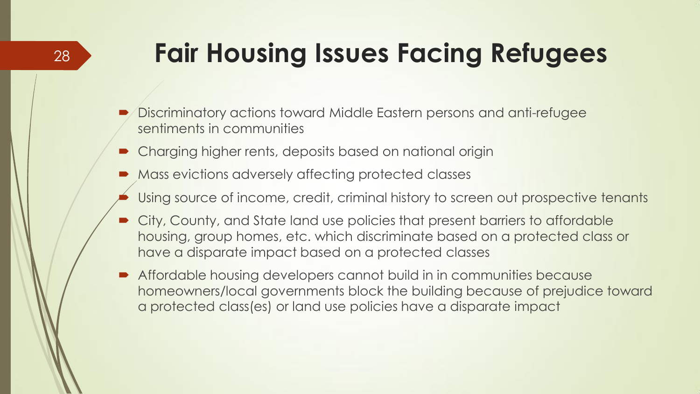## **Fair Housing Issues Facing Refugees**

- Discriminatory actions toward Middle Eastern persons and anti-refugee sentiments in communities
- **Charging higher rents, deposits based on national origin**
- **Mass evictions adversely affecting protected classes**
- Using source of income, credit, criminal history to screen out prospective tenants
- City, County, and State land use policies that present barriers to affordable housing, group homes, etc. which discriminate based on a protected class or have a disparate impact based on a protected classes
- Affordable housing developers cannot build in in communities because homeowners/local governments block the building because of prejudice toward a protected class(es) or land use policies have a disparate impact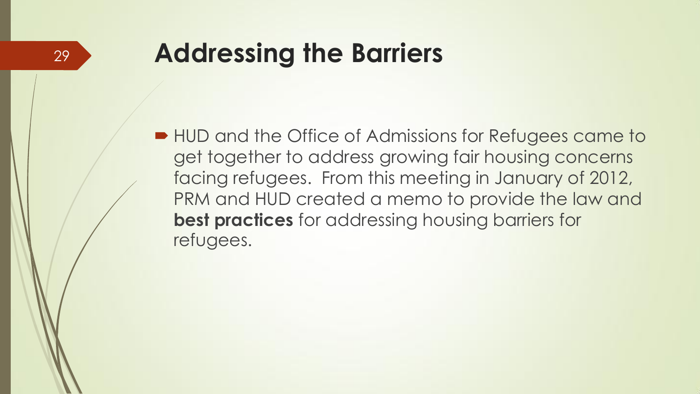### **Addressing the Barriers**

■ HUD and the Office of Admissions for Refugees came to get together to address growing fair housing concerns facing refugees. From this meeting in January of 2012, PRM and HUD created a memo to provide the law and **best practices** for addressing housing barriers for refugees.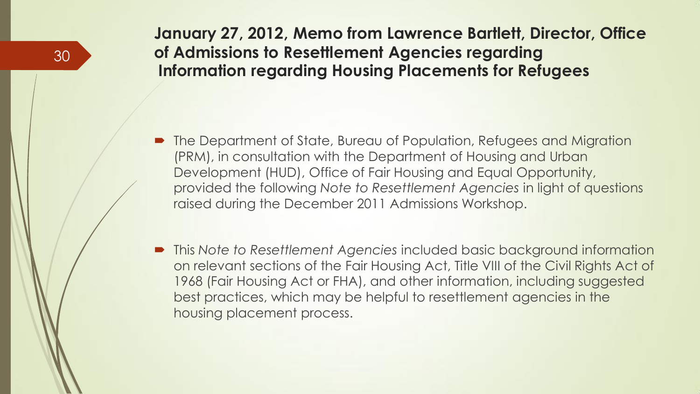#### **January 27, 2012, Memo from Lawrence Bartlett, Director, Office of Admissions to Resettlement Agencies regarding Information regarding Housing Placements for Refugees**

- The Department of State, Bureau of Population, Refugees and Migration (PRM), in consultation with the Department of Housing and Urban Development (HUD), Office of Fair Housing and Equal Opportunity, provided the following *Note to Resettlement Agencies* in light of questions raised during the December 2011 Admissions Workshop.
- This *Note to Resettlement Agencies* included basic background information on relevant sections of the Fair Housing Act, Title VIII of the Civil Rights Act of 1968 (Fair Housing Act or FHA), and other information, including suggested best practices, which may be helpful to resettlement agencies in the housing placement process.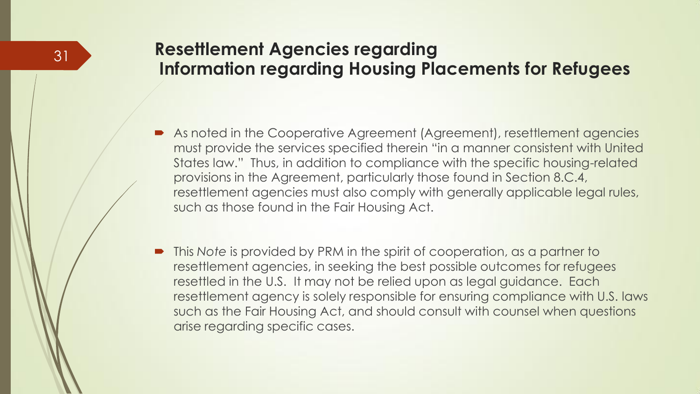#### **Resettlement Agencies regarding Information regarding Housing Placements for Refugees**

- As noted in the Cooperative Agreement (Agreement), resettlement agencies must provide the services specified therein "in a manner consistent with United States law." Thus, in addition to compliance with the specific housing-related provisions in the Agreement, particularly those found in Section 8.C.4, resettlement agencies must also comply with generally applicable legal rules, such as those found in the Fair Housing Act.
- This *Note* is provided by PRM in the spirit of cooperation, as a partner to resettlement agencies, in seeking the best possible outcomes for refugees resettled in the U.S. It may not be relied upon as legal guidance. Each resettlement agency is solely responsible for ensuring compliance with U.S. laws such as the Fair Housing Act, and should consult with counsel when questions arise regarding specific cases.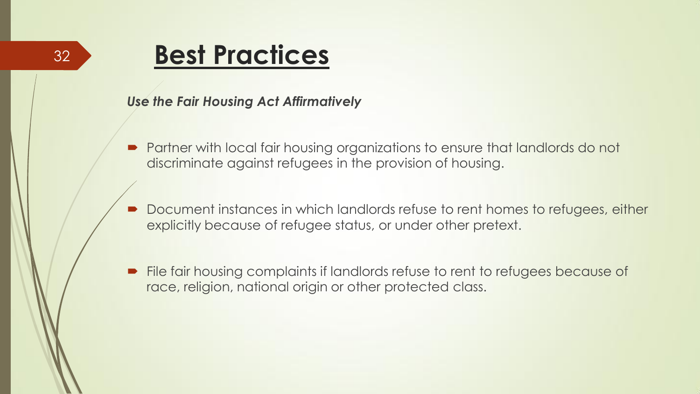### **Best Practices**

#### *Use the Fair Housing Act Affirmatively*

- Partner with local fair housing organizations to ensure that landlords do not discriminate against refugees in the provision of housing.
- Document instances in which landlords refuse to rent homes to refugees, either explicitly because of refugee status, or under other pretext.
- File fair housing complaints if landlords refuse to rent to refugees because of race, religion, national origin or other protected class.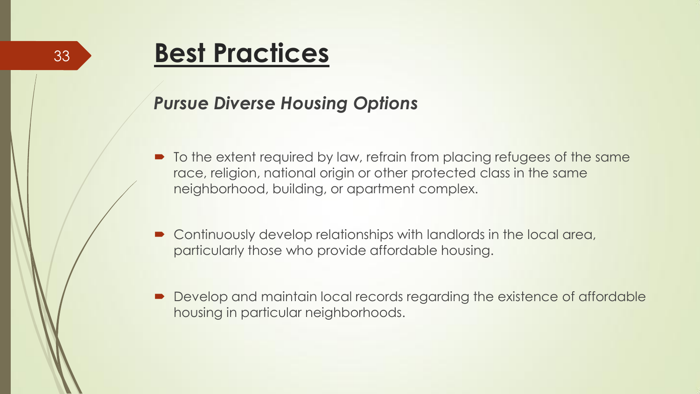### **Best Practices**

#### *Pursue Diverse Housing Options*

- $\blacksquare$  To the extent required by law, refrain from placing refugees of the same race, religion, national origin or other protected class in the same neighborhood, building, or apartment complex.
- Continuously develop relationships with landlords in the local area, particularly those who provide affordable housing.
- Develop and maintain local records regarding the existence of affordable housing in particular neighborhoods.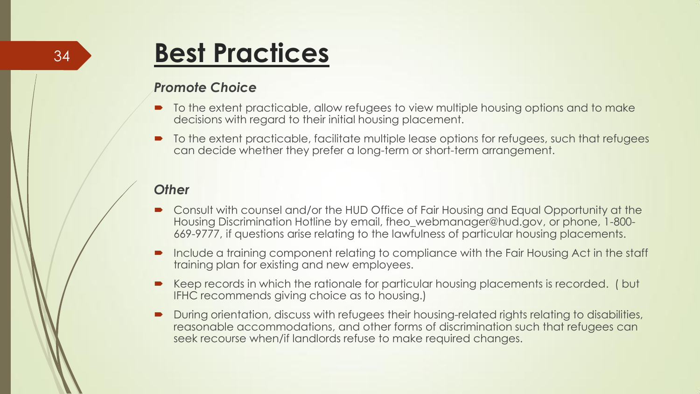#### 34

### **Best Practices**

#### *Promote Choice*

- $\blacksquare$  To the extent practicable, allow refugees to view multiple housing options and to make decisions with regard to their initial housing placement.
- $\blacksquare$  To the extent practicable, facilitate multiple lease options for refugees, such that refugees can decide whether they prefer a long-term or short-term arrangement.

#### *Other*

- Consult with counsel and/or the HUD Office of Fair Housing and Equal Opportunity at the Housing Discrimination Hotline by email, fheo\_webmanager@hud.gov, or phone, 1-800- 669-9777, if questions arise relating to the lawfulness of particular housing placements.
- **Include a training component relating to compliance with the Fair Housing Act in the staff** training plan for existing and new employees.
- Keep records in which the rationale for particular housing placements is recorded. ( but IFHC recommends giving choice as to housing.)
- During orientation, discuss with refugees their housing-related rights relating to disabilities, reasonable accommodations, and other forms of discrimination such that refugees can seek recourse when/if landlords refuse to make required changes.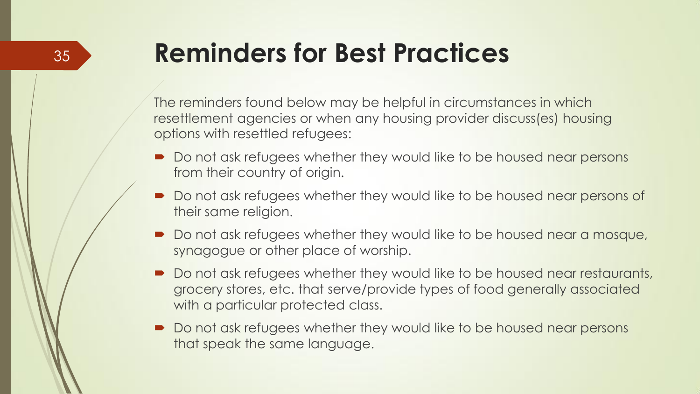## **Reminders for Best Practices**

35

The reminders found below may be helpful in circumstances in which resettlement agencies or when any housing provider discuss(es) housing options with resettled refugees:

- Do not ask refugees whether they would like to be housed near persons from their country of origin.
- Do not ask refugees whether they would like to be housed near persons of their same religion.
- Do not ask refugees whether they would like to be housed near a mosque, synagogue or other place of worship.
- Do not ask refugees whether they would like to be housed near restaurants, grocery stores, etc. that serve/provide types of food generally associated with a particular protected class.
- Do not ask refugees whether they would like to be housed near persons that speak the same language.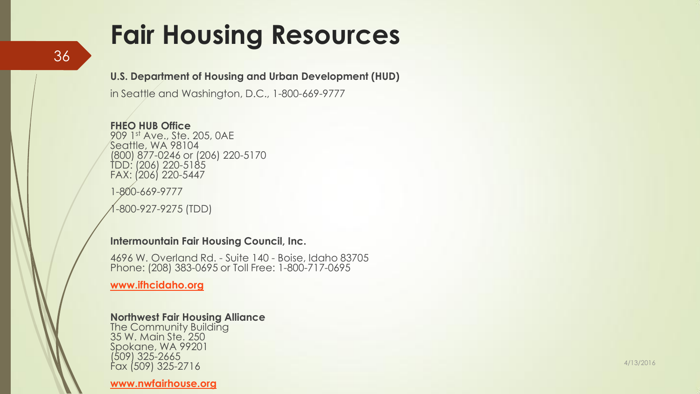### **Fair Housing Resources**

**U.S. Department of Housing and Urban Development (HUD)**

in Seattle and Washington, D.C., 1 -800 -669 -9777

**FHEO HUB Office** 909 1st Ave., Ste. 205, 0AE Seattle, WA 98104 (800) 877 -0246 or (206) 220 -5170 TDD: (206) 220 -5185 FAX: (206) 220 -5447

1 -800 -669 -9777

1 -800 -927 -9275 (TDD)

#### **Intermountain Fair Housing Council, Inc.**

4696 W. Overland Rd. - Suite 140 - Boise, Idaho 83705 Phone: (208) 383-0695 or Toll Free: 1-800-717-0695

**[www.ifhcidaho.org](http://www.ifhcidaho.org/)**

#### **Northwest Fair Housing Alliance**

The Community Building 35 W. Main Ste. 250 Spokane, WA 99201 (509) 325 -2665 Fax (509) 325 -2716

**[www.nwfairhouse.org](http://www.nwfairhouse.org/)**

4/13/2016